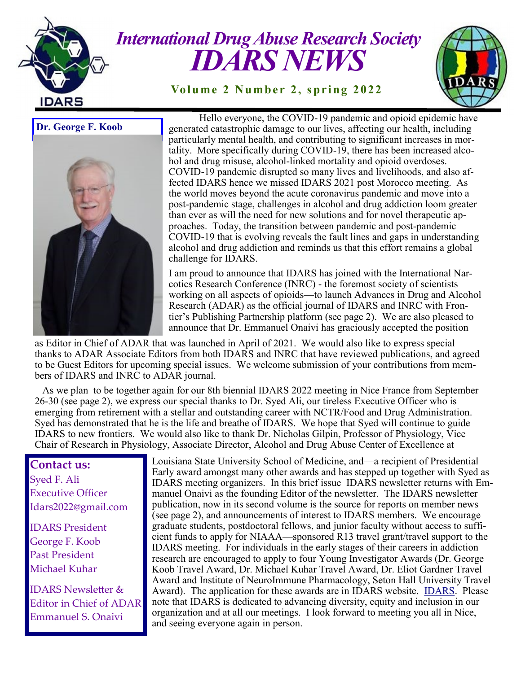

## *International Drug Abuse Research Society IDARS NEWS*

**Volume 2 Number 2, spring 2022** 



**Dr. George F. Koob**



Hello everyone, the COVID-19 pandemic and opioid epidemic have generated catastrophic damage to our lives, affecting our health, including particularly mental health, and contributing to significant increases in mortality. More specifically during COVID-19, there has been increased alcohol and drug misuse, alcohol-linked mortality and opioid overdoses. COVID-19 pandemic disrupted so many lives and livelihoods, and also affected IDARS hence we missed IDARS 2021 post Morocco meeting. As the world moves beyond the acute coronavirus pandemic and move into a post-pandemic stage, challenges in alcohol and drug addiction loom greater than ever as will the need for new solutions and for novel therapeutic approaches. Today, the transition between pandemic and post-pandemic COVID-19 that is evolving reveals the fault lines and gaps in understanding alcohol and drug addiction and reminds us that this effort remains a global challenge for IDARS.

I am proud to announce that IDARS has joined with the International Narcotics Research Conference (INRC) - the foremost society of scientists working on all aspects of opioids—to launch Advances in Drug and Alcohol Research (ADAR) as the official journal of IDARS and INRC with Frontier's Publishing Partnership platform (see page 2). We are also pleased to announce that Dr. Emmanuel Onaivi has graciously accepted the position

as Editor in Chief of ADAR that was launched in April of 2021. We would also like to express special thanks to ADAR Associate Editors from both IDARS and INRC that have reviewed publications, and agreed to be Guest Editors for upcoming special issues. We welcome submission of your contributions from members of IDARS and INRC to ADAR journal.

 As we plan to be together again for our 8th biennial IDARS 2022 meeting in Nice France from September 26-30 (see page 2), we express our special thanks to Dr. Syed Ali, our tireless Executive Officer who is emerging from retirement with a stellar and outstanding career with NCTR/Food and Drug Administration. Syed has demonstrated that he is the life and breathe of IDARS. We hope that Syed will continue to guide IDARS to new frontiers. We would also like to thank Dr. Nicholas Gilpin, Professor of Physiology, Vice Chair of Research in Physiology, Associate Director, Alcohol and Drug Abuse Center of Excellence at

## **Contact us:**

Syed F. Ali Executive Officer Idars2022@gmail.com

IDARS President George F. Koob Past President Michael Kuhar

IDARS Newsletter & Editor in Chief of ADAR Emmanuel S. Onaivi

Louisiana State University School of Medicine, and—a recipient of Presidential Early award amongst many other awards and has stepped up together with Syed as IDARS meeting organizers. In this brief issue IDARS newsletter returns with Emmanuel Onaivi as the founding Editor of the newsletter. The IDARS newsletter publication, now in its second volume is the source for reports on member news (see page 2), and announcements of interest to IDARS members. We encourage graduate students, postdoctoral fellows, and junior faculty without access to sufficient funds to apply for NIAAA—sponsored R13 travel grant/travel support to the IDARS meeting. For individuals in the early stages of their careers in addiction research are encouraged to apply to four Young Investigator Awards (Dr. George Koob Travel Award, Dr. Michael Kuhar Travel Award, Dr. Eliot Gardner Travel Award and Institute of NeuroImmune Pharmacology, Seton Hall University Travel Award). The application for these awards are in IDARS website. [IDARS.](http://www.idars.org/) Please note that IDARS is dedicated to advancing diversity, equity and inclusion in our organization and at all our meetings. I look forward to meeting you all in Nice, and seeing everyone again in person.